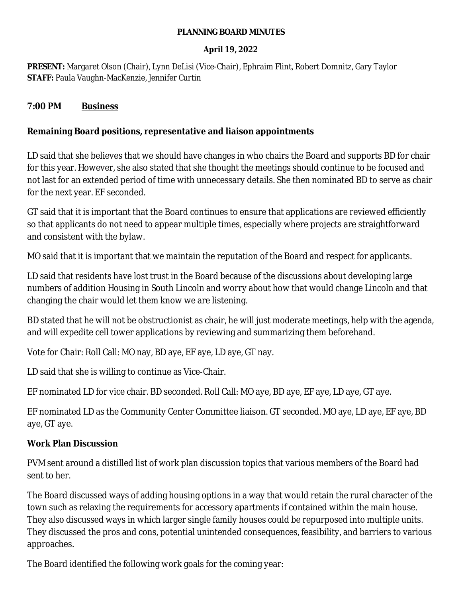#### **PLANNING BOARD MINUTES**

#### **April 19, 2022**

**PRESENT:** Margaret Olson (Chair), Lynn DeLisi (Vice-Chair), Ephraim Flint, Robert Domnitz, Gary Taylor **STAFF:** Paula Vaughn-MacKenzie, Jennifer Curtin

### **7:00 PM Business**

## **Remaining Board positions, representative and liaison appointments**

LD said that she believes that we should have changes in who chairs the Board and supports BD for chair for this year. However, she also stated that she thought the meetings should continue to be focused and not last for an extended period of time with unnecessary details. She then nominated BD to serve as chair for the next year. EF seconded.

GT said that it is important that the Board continues to ensure that applications are reviewed efficiently so that applicants do not need to appear multiple times, especially where projects are straightforward and consistent with the bylaw.

MO said that it is important that we maintain the reputation of the Board and respect for applicants.

LD said that residents have lost trust in the Board because of the discussions about developing large numbers of addition Housing in South Lincoln and worry about how that would change Lincoln and that changing the chair would let them know we are listening.

BD stated that he will not be obstructionist as chair, he will just moderate meetings, help with the agenda, and will expedite cell tower applications by reviewing and summarizing them beforehand.

Vote for Chair: Roll Call: MO nay, BD aye, EF aye, LD aye, GT nay.

LD said that she is willing to continue as Vice-Chair.

EF nominated LD for vice chair. BD seconded. Roll Call: MO aye, BD aye, EF aye, LD aye, GT aye.

EF nominated LD as the Community Center Committee liaison. GT seconded. MO aye, LD aye, EF aye, BD aye, GT aye.

# **Work Plan Discussion**

PVM sent around a distilled list of work plan discussion topics that various members of the Board had sent to her.

The Board discussed ways of adding housing options in a way that would retain the rural character of the town such as relaxing the requirements for accessory apartments if contained within the main house. They also discussed ways in which larger single family houses could be repurposed into multiple units. They discussed the pros and cons, potential unintended consequences, feasibility, and barriers to various approaches.

The Board identified the following work goals for the coming year: